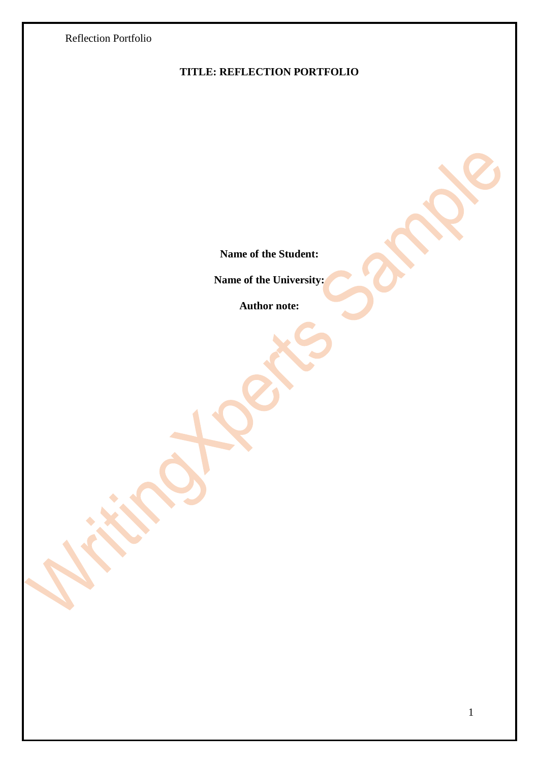

# **TITLE: REFLECTION PORTFOLIO**

**Name of the Student:**

**Name of the University:**

**Author note:**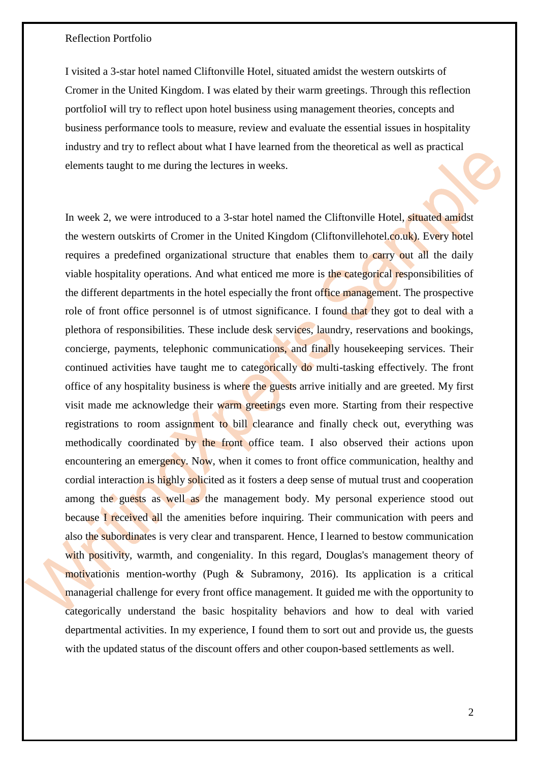I visited a 3-star hotel named Cliftonville Hotel, situated amidst the western outskirts of Cromer in the United Kingdom. I was elated by their warm greetings. Through this reflection portfolioI will try to reflect upon hotel business using management theories, concepts and business performance tools to measure, review and evaluate the essential issues in hospitality industry and try to reflect about what I have learned from the theoretical as well as practical elements taught to me during the lectures in weeks.

In week 2, we were introduced to a 3-star hotel named the Cliftonville Hotel, situated amidst the western outskirts of Cromer in the United Kingdom (Cliftonvillehotel.co.uk). Every hotel requires a predefined organizational structure that enables them to carry out all the daily viable hospitality operations. And what enticed me more is the categorical responsibilities of the different departments in the hotel especially the front office management. The prospective role of front office personnel is of utmost significance. I found that they got to deal with a plethora of responsibilities. These include desk services, laundry, reservations and bookings, concierge, payments, telephonic communications, and finally housekeeping services. Their continued activities have taught me to categorically do multi-tasking effectively. The front office of any hospitality business is where the guests arrive initially and are greeted. My first visit made me acknowledge their warm greetings even more. Starting from their respective registrations to room assignment to bill clearance and finally check out, everything was methodically coordinated by the front office team. I also observed their actions upon encountering an emergency. Now, when it comes to front office communication, healthy and cordial interaction is highly solicited as it fosters a deep sense of mutual trust and cooperation among the guests as well as the management body. My personal experience stood out because I received all the amenities before inquiring. Their communication with peers and also the subordinates is very clear and transparent. Hence, I learned to bestow communication with positivity, warmth, and congeniality. In this regard, Douglas's management theory of motivationis mention-worthy (Pugh & Subramony, 2016). Its application is a critical managerial challenge for every front office management. It guided me with the opportunity to categorically understand the basic hospitality behaviors and how to deal with varied departmental activities. In my experience, I found them to sort out and provide us, the guests with the updated status of the discount offers and other coupon-based settlements as well.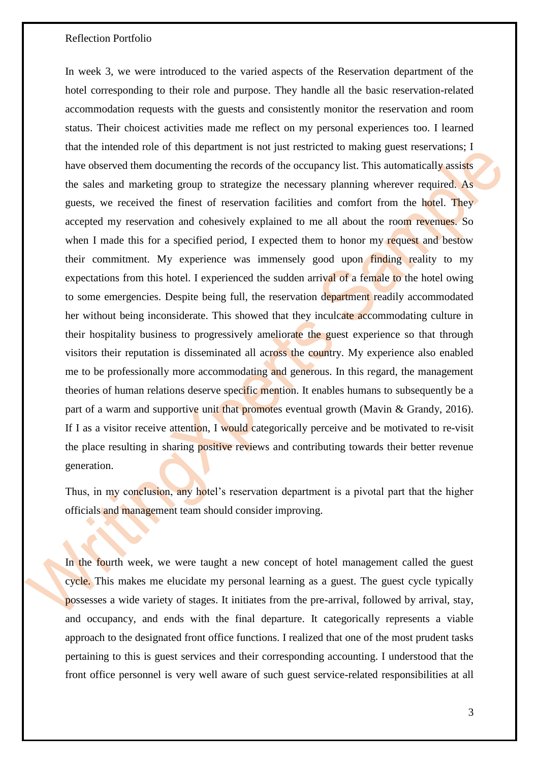In week 3, we were introduced to the varied aspects of the Reservation department of the hotel corresponding to their role and purpose. They handle all the basic reservation-related accommodation requests with the guests and consistently monitor the reservation and room status. Their choicest activities made me reflect on my personal experiences too. I learned that the intended role of this department is not just restricted to making guest reservations; I have observed them documenting the records of the occupancy list. This automatically assists the sales and marketing group to strategize the necessary planning wherever required. As guests, we received the finest of reservation facilities and comfort from the hotel. They accepted my reservation and cohesively explained to me all about the room revenues. So when I made this for a specified period, I expected them to honor my request and bestow their commitment. My experience was immensely good upon finding reality to my expectations from this hotel. I experienced the sudden arrival of a female to the hotel owing to some emergencies. Despite being full, the reservation department readily accommodated her without being inconsiderate. This showed that they inculcate accommodating culture in their hospitality business to progressively ameliorate the guest experience so that through visitors their reputation is disseminated all across the country. My experience also enabled me to be professionally more accommodating and generous. In this regard, the management theories of human relations deserve specific mention. It enables humans to subsequently be a part of a warm and supportive unit that promotes eventual growth (Mavin & Grandy, 2016). If I as a visitor receive attention, I would categorically perceive and be motivated to re-visit the place resulting in sharing positive reviews and contributing towards their better revenue generation.

Thus, in my conclusion, any hotel's reservation department is a pivotal part that the higher officials and management team should consider improving.

In the fourth week, we were taught a new concept of hotel management called the guest cycle. This makes me elucidate my personal learning as a guest. The guest cycle typically possesses a wide variety of stages. It initiates from the pre-arrival, followed by arrival, stay, and occupancy, and ends with the final departure. It categorically represents a viable approach to the designated front office functions. I realized that one of the most prudent tasks pertaining to this is guest services and their corresponding accounting. I understood that the front office personnel is very well aware of such guest service-related responsibilities at all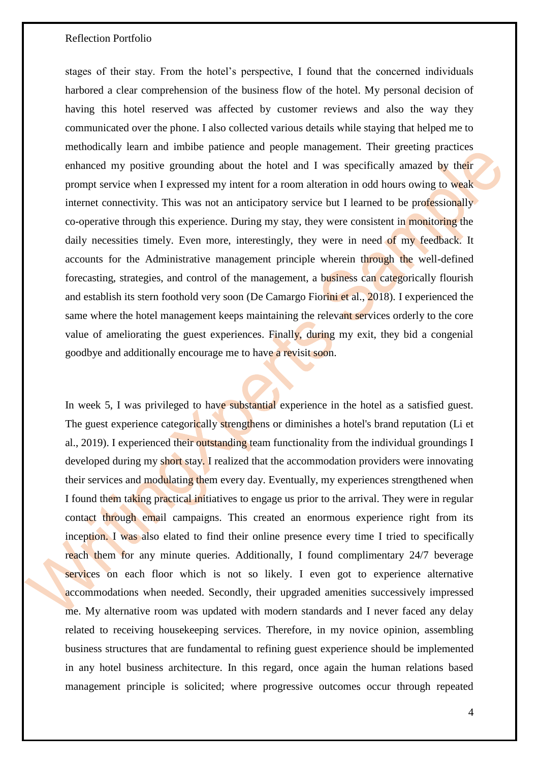stages of their stay. From the hotel's perspective, I found that the concerned individuals harbored a clear comprehension of the business flow of the hotel. My personal decision of having this hotel reserved was affected by customer reviews and also the way they communicated over the phone. I also collected various details while staying that helped me to methodically learn and imbibe patience and people management. Their greeting practices enhanced my positive grounding about the hotel and I was specifically amazed by their prompt service when I expressed my intent for a room alteration in odd hours owing to weak internet connectivity. This was not an anticipatory service but I learned to be professionally co-operative through this experience. During my stay, they were consistent in monitoring the daily necessities timely. Even more, interestingly, they were in need of my feedback. It accounts for the Administrative management principle wherein through the well-defined forecasting, strategies, and control of the management, a business can categorically flourish and establish its stern foothold very soon (De Camargo Fiorini et al., 2018). I experienced the same where the hotel management keeps maintaining the relevant services orderly to the core value of ameliorating the guest experiences. Finally, during my exit, they bid a congenial goodbye and additionally encourage me to have a revisit soon.

In week 5, I was privileged to have substantial experience in the hotel as a satisfied guest. The guest experience categorically strengthens or diminishes a hotel's brand reputation (Li et al., 2019). I experienced their outstanding team functionality from the individual groundings I developed during my short stay. I realized that the accommodation providers were innovating their services and modulating them every day. Eventually, my experiences strengthened when I found them taking practical initiatives to engage us prior to the arrival. They were in regular contact through email campaigns. This created an enormous experience right from its inception. I was also elated to find their online presence every time I tried to specifically reach them for any minute queries. Additionally, I found complimentary 24/7 beverage services on each floor which is not so likely. I even got to experience alternative accommodations when needed. Secondly, their upgraded amenities successively impressed me. My alternative room was updated with modern standards and I never faced any delay related to receiving housekeeping services. Therefore, in my novice opinion, assembling business structures that are fundamental to refining guest experience should be implemented in any hotel business architecture. In this regard, once again the human relations based management principle is solicited; where progressive outcomes occur through repeated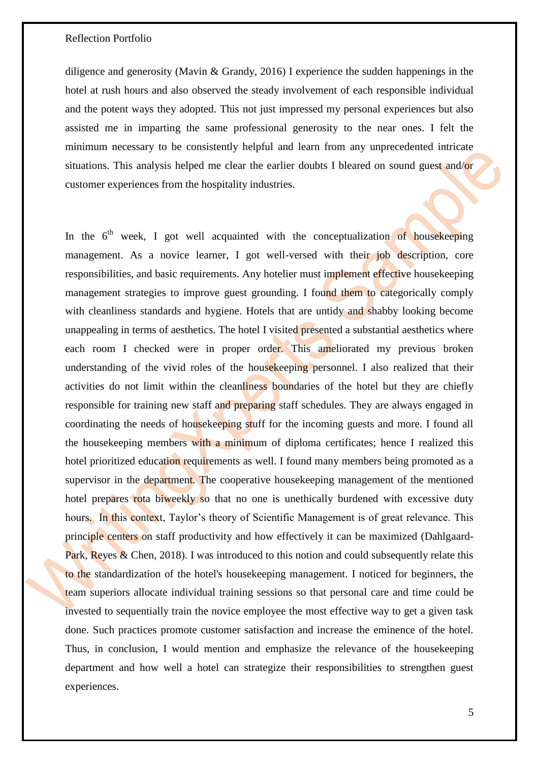diligence and generosity (Mavin & Grandy, 2016) I experience the sudden happenings in the hotel at rush hours and also observed the steady involvement of each responsible individual and the potent ways they adopted. This not just impressed my personal experiences but also assisted me in imparting the same professional generosity to the near ones. I felt the minimum necessary to be consistently helpful and learn from any unprecedented intricate situations. This analysis helped me clear the earlier doubts I bleared on sound guest and/or customer experiences from the hospitality industries.

In the  $6<sup>th</sup>$  week, I got well acquainted with the conceptualization of housekeeping management. As a novice learner, I got well-versed with their job description, core responsibilities, and basic requirements. Any hotelier must implement effective housekeeping management strategies to improve guest grounding. I found them to categorically comply with cleanliness standards and hygiene. Hotels that are untidy and shabby looking become unappealing in terms of aesthetics. The hotel I visited presented a substantial aesthetics where each room I checked were in proper order. This ameliorated my previous broken understanding of the vivid roles of the housekeeping personnel. I also realized that their activities do not limit within the cleanliness boundaries of the hotel but they are chiefly responsible for training new staff and preparing staff schedules. They are always engaged in coordinating the needs of housekeeping stuff for the incoming guests and more. I found all the housekeeping members with a minimum of diploma certificates; hence I realized this hotel prioritized education requirements as well. I found many members being promoted as a supervisor in the department. The cooperative house keeping management of the mentioned hotel prepares rota biweekly so that no one is unethically burdened with excessive duty hours. In this context, Taylor's theory of Scientific Management is of great relevance. This principle centers on staff productivity and how effectively it can be maximized (Dahlgaard-Park, Reyes & Chen, 2018). I was introduced to this notion and could subsequently relate this to the standardization of the hotel's housekeeping management. I noticed for beginners, the team superiors allocate individual training sessions so that personal care and time could be invested to sequentially train the novice employee the most effective way to get a given task done. Such practices promote customer satisfaction and increase the eminence of the hotel. Thus, in conclusion, I would mention and emphasize the relevance of the housekeeping department and how well a hotel can strategize their responsibilities to strengthen guest experiences.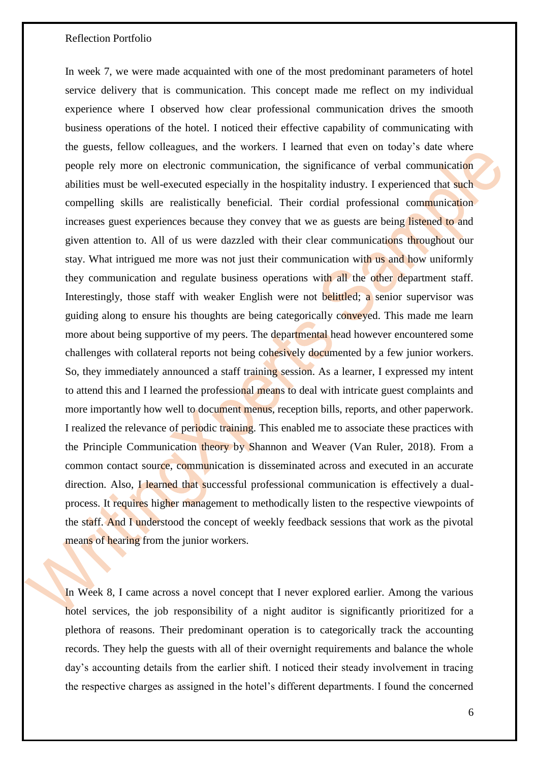In week 7, we were made acquainted with one of the most predominant parameters of hotel service delivery that is communication. This concept made me reflect on my individual experience where I observed how clear professional communication drives the smooth business operations of the hotel. I noticed their effective capability of communicating with the guests, fellow colleagues, and the workers. I learned that even on today's date where people rely more on electronic communication, the significance of verbal communication abilities must be well-executed especially in the hospitality industry. I experienced that such compelling skills are realistically beneficial. Their cordial professional communication increases guest experiences because they convey that we as guests are being listened to and given attention to. All of us were dazzled with their clear communications throughout our stay. What intrigued me more was not just their communication with us and how uniformly they communication and regulate business operations with all the other department staff. Interestingly, those staff with weaker English were not belittled; a senior supervisor was guiding along to ensure his thoughts are being categorically conveyed. This made me learn more about being supportive of my peers. The departmental head however encountered some challenges with collateral reports not being cohesively documented by a few junior workers. So, they immediately announced a staff training session. As a learner, I expressed my intent to attend this and I learned the professional means to deal with intricate guest complaints and more importantly how well to document menus, reception bills, reports, and other paperwork. I realized the relevance of periodic training. This enabled me to associate these practices with the Principle Communication theory by Shannon and Weaver (Van Ruler, 2018). From a common contact source, communication is disseminated across and executed in an accurate direction. Also, I learned that successful professional communication is effectively a dualprocess. It requires higher management to methodically listen to the respective viewpoints of the staff. And I understood the concept of weekly feedback sessions that work as the pivotal means of hearing from the junior workers.

In Week 8, I came across a novel concept that I never explored earlier. Among the various hotel services, the job responsibility of a night auditor is significantly prioritized for a plethora of reasons. Their predominant operation is to categorically track the accounting records. They help the guests with all of their overnight requirements and balance the whole day's accounting details from the earlier shift. I noticed their steady involvement in tracing the respective charges as assigned in the hotel's different departments. I found the concerned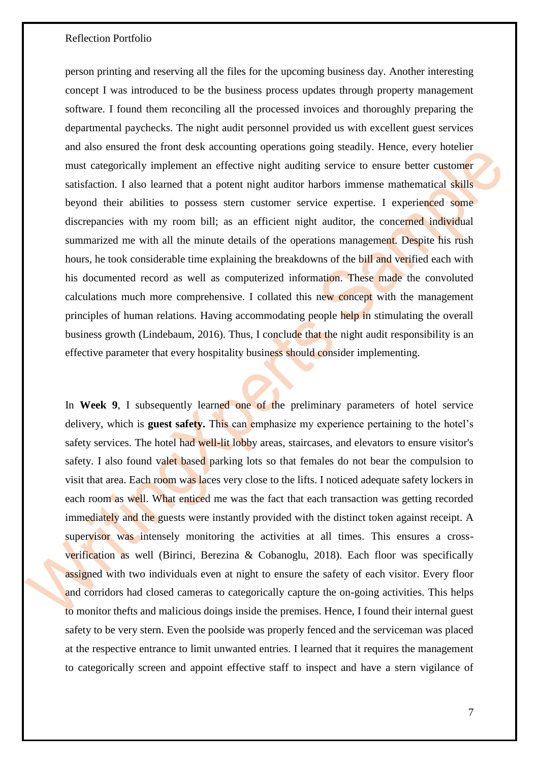person printing and reserving all the files for the upcoming business day. Another interesting concept I was introduced to be the business process updates through property management software. I found them reconciling all the processed invoices and thoroughly preparing the departmental paychecks. The night audit personnel provided us with excellent guest services and also ensured the front desk accounting operations going steadily. Hence, every hotelier must categorically implement an effective night auditing service to ensure better customer satisfaction. I also learned that a potent night auditor harbors immense mathematical skills beyond their abilities to possess stern customer service expertise. I experienced some discrepancies with my room bill; as an efficient night auditor, the concerned individual summarized me with all the minute details of the operations management. Despite his rush hours, he took considerable time explaining the breakdowns of the bill and verified each with his documented record as well as computerized information. These made the convoluted calculations much more comprehensive. I collated this new concept with the management principles of human relations. Having accommodating people help in stimulating the overall business growth (Lindebaum, 2016). Thus, I conclude that the night audit responsibility is an effective parameter that every hospitality business should consider implementing.

In **Week 9**, I subsequently learned one of the preliminary parameters of hotel service delivery, which is **guest safety.** This can emphasize my experience pertaining to the hotel's safety services. The hotel had well-lit lobby areas, staircases, and elevators to ensure visitor's safety. I also found valet based parking lots so that females do not bear the compulsion to visit that area. Each room was laces very close to the lifts. I noticed adequate safety lockers in each room as well. What enticed me was the fact that each transaction was getting recorded immediately and the guests were instantly provided with the distinct token against receipt. A supervisor was intensely monitoring the activities at all times. This ensures a crossverification as well (Birinci, Berezina & Cobanoglu, 2018). Each floor was specifically assigned with two individuals even at night to ensure the safety of each visitor. Every floor and corridors had closed cameras to categorically capture the on-going activities. This helps to monitor thefts and malicious doings inside the premises. Hence, I found their internal guest safety to be very stern. Even the poolside was properly fenced and the serviceman was placed at the respective entrance to limit unwanted entries. I learned that it requires the management to categorically screen and appoint effective staff to inspect and have a stern vigilance of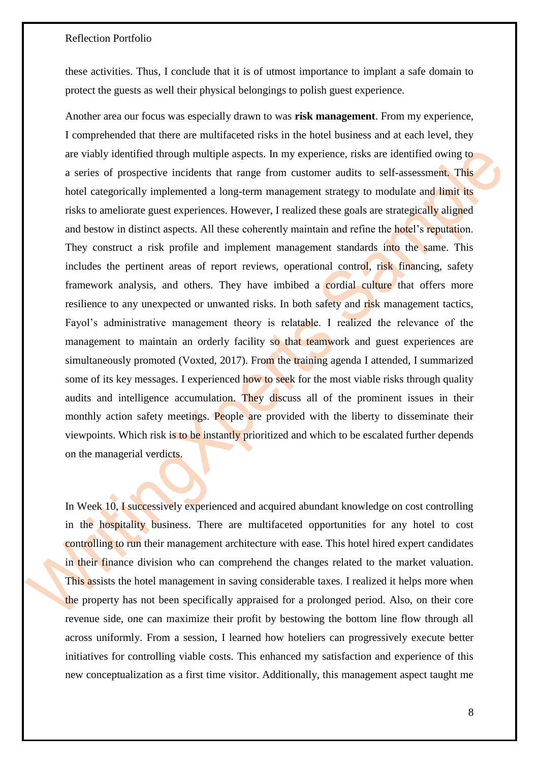these activities. Thus, I conclude that it is of utmost importance to implant a safe domain to protect the guests as well their physical belongings to polish guest experience.

Another area our focus was especially drawn to was **risk management**. From my experience, I comprehended that there are multifaceted risks in the hotel business and at each level, they are viably identified through multiple aspects. In my experience, risks are identified owing to a series of prospective incidents that range from customer audits to self-assessment. This hotel categorically implemented a long-term management strategy to modulate and limit its risks to ameliorate guest experiences. However, I realized these goals are strategically aligned and bestow in distinct aspects. All these coherently maintain and refine the hotel's reputation. They construct a risk profile and implement management standards into the same. This includes the pertinent areas of report reviews, operational control, risk financing, safety framework analysis, and others. They have imbibed a cordial culture that offers more resilience to any unexpected or unwanted risks. In both safety and risk management tactics, Fayol's administrative management theory is relatable. I realized the relevance of the management to maintain an orderly facility so that teamwork and guest experiences are simultaneously promoted (Voxted, 2017). From the training agenda I attended, I summarized some of its key messages. I experienced how to seek for the most viable risks through quality audits and intelligence accumulation. They discuss all of the prominent issues in their monthly action safety meetings. People are provided with the liberty to disseminate their viewpoints. Which risk is to be instantly prioritized and which to be escalated further depends on the managerial verdicts.

In Week 10, I successively experienced and acquired abundant knowledge on cost controlling in the hospitality business. There are multifaceted opportunities for any hotel to cost controlling to run their management architecture with ease. This hotel hired expert candidates in their finance division who can comprehend the changes related to the market valuation. This assists the hotel management in saving considerable taxes. I realized it helps more when the property has not been specifically appraised for a prolonged period. Also, on their core revenue side, one can maximize their profit by bestowing the bottom line flow through all across uniformly. From a session, I learned how hoteliers can progressively execute better initiatives for controlling viable costs. This enhanced my satisfaction and experience of this new conceptualization as a first time visitor. Additionally, this management aspect taught me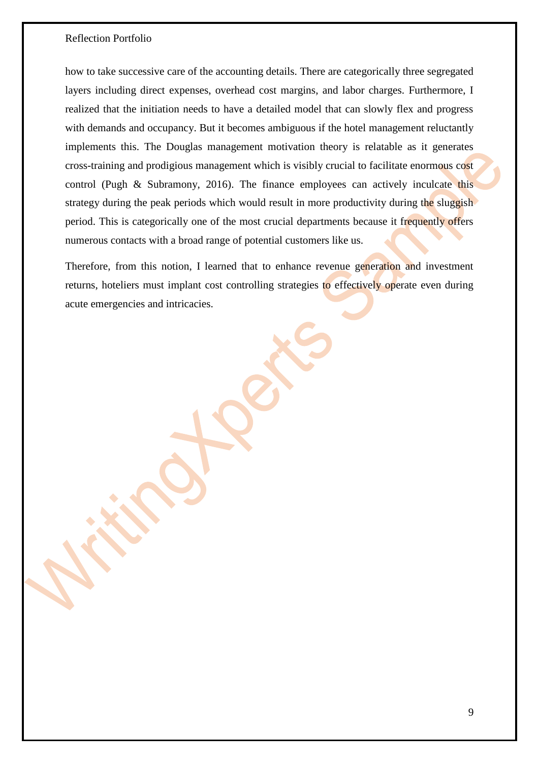how to take successive care of the accounting details. There are categorically three segregated layers including direct expenses, overhead cost margins, and labor charges. Furthermore, I realized that the initiation needs to have a detailed model that can slowly flex and progress with demands and occupancy. But it becomes ambiguous if the hotel management reluctantly implements this. The Douglas management motivation theory is relatable as it generates cross-training and prodigious management which is visibly crucial to facilitate enormous cost control (Pugh & Subramony, 2016). The finance employees can actively inculcate this strategy during the peak periods which would result in more productivity during the sluggish period. This is categorically one of the most crucial departments because it frequently offers numerous contacts with a broad range of potential customers like us.

Therefore, from this notion, I learned that to enhance revenue generation and investment returns, hoteliers must implant cost controlling strategies to effectively operate even during acute emergencies and intricacies.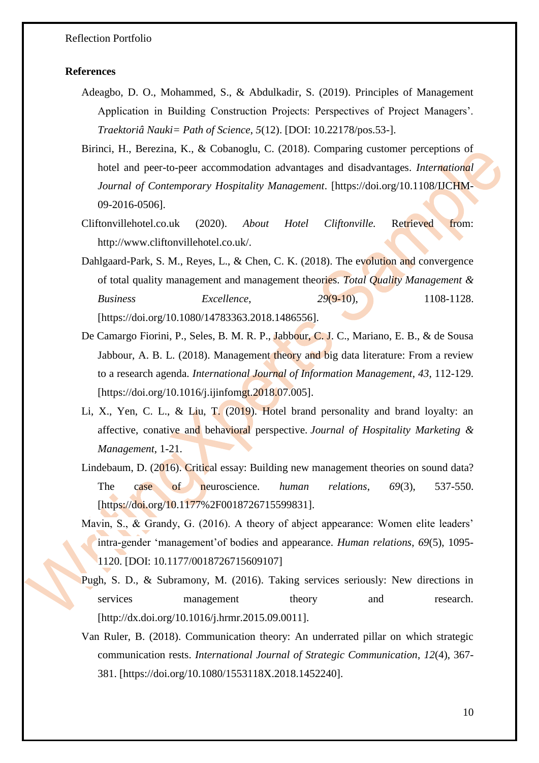### **References**

- Adeagbo, D. O., Mohammed, S., & Abdulkadir, S. (2019). Principles of Management Application in Building Construction Projects: Perspectives of Project Managers'. *Traektoriâ Nauki= Path of Science*, *5*(12). [DOI: 10.22178/pos.53-].
- Birinci, H., Berezina, K., & Cobanoglu, C. (2018). Comparing customer perceptions of hotel and peer-to-peer accommodation advantages and disadvantages. *International Journal of Contemporary Hospitality Management*. [https://doi.org/10.1108/IJCHM-09-2016-0506].
- Cliftonvillehotel.co.uk (2020). *About Hotel Cliftonville.* Retrieved from: http://www.cliftonvillehotel.co.uk/.
- Dahlgaard-Park, S. M., Reyes, L., & Chen, C. K. (2018). The evolution and convergence of total quality management and management theories. *Total Quality Management & Business Excellence*, *29*(9-10), 1108-1128. [https://doi.org/10.1080/14783363.2018.1486556].
- De Camargo Fiorini, P., Seles, B. M. R. P., Jabbour, C. J. C., Mariano, E. B., & de Sousa Jabbour, A. B. L. (2018). Management theory and big data literature: From a review to a research agenda. *International Journal of Information Management*, *43*, 112-129. [https://doi.org/10.1016/j.ijinfomgt.2018.07.005].
- Li, X., Yen, C. L., & Liu, T. (2019). Hotel brand personality and brand loyalty: an affective, conative and behavioral perspective. *Journal of Hospitality Marketing & Management*, 1-21.
- Lindebaum, D. (2016). Critical essay: Building new management theories on sound data? The case of neuroscience. *human relations*, 69(3), 537-550. [https://doi.org/10.1177%2F0018726715599831].
- Mavin, S., & Grandy, G. (2016). A theory of abject appearance: Women elite leaders' intra-gender 'management'of bodies and appearance. *Human relations*, *69*(5), 1095- 1120. [DOI: 10.1177/0018726715609107]
- Pugh, S. D., & Subramony, M. (2016). Taking services seriously: New directions in services management theory and research. [http://dx.doi.org/10.1016/j.hrmr.2015.09.0011].
- Van Ruler, B. (2018). Communication theory: An underrated pillar on which strategic communication rests. *International Journal of Strategic Communication*, *12*(4), 367- 381. [https://doi.org/10.1080/1553118X.2018.1452240].